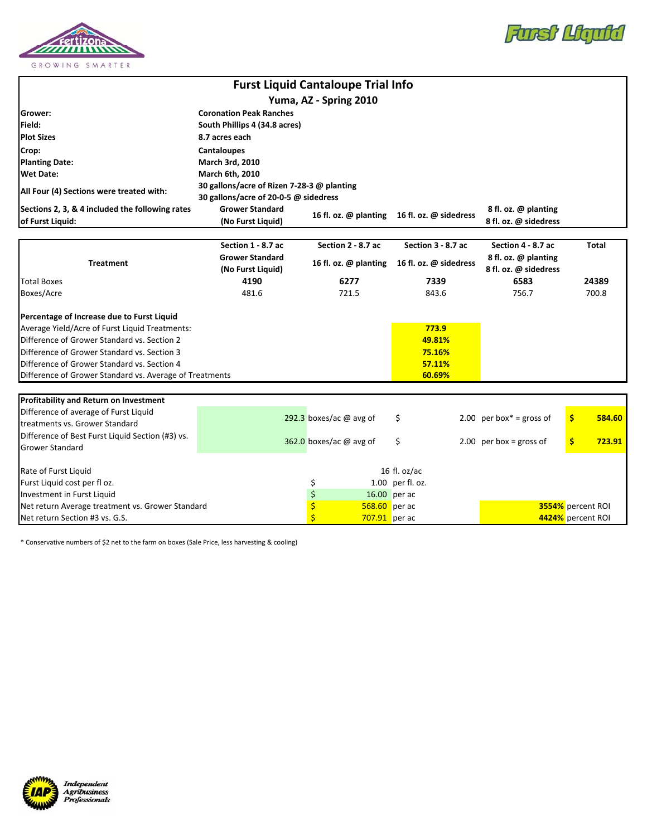



| <b>Furst Liquid Cantaloupe Trial Info</b>                           |                                             |                                          |                                              |                                               |                   |  |  |  |  |
|---------------------------------------------------------------------|---------------------------------------------|------------------------------------------|----------------------------------------------|-----------------------------------------------|-------------------|--|--|--|--|
|                                                                     |                                             | Yuma, AZ - Spring 2010                   |                                              |                                               |                   |  |  |  |  |
| Grower:                                                             | <b>Coronation Peak Ranches</b>              |                                          |                                              |                                               |                   |  |  |  |  |
| Field:                                                              | South Phillips 4 (34.8 acres)               |                                          |                                              |                                               |                   |  |  |  |  |
| <b>Plot Sizes</b>                                                   | 8.7 acres each                              |                                          |                                              |                                               |                   |  |  |  |  |
| Crop:                                                               | <b>Cantaloupes</b>                          |                                          |                                              |                                               |                   |  |  |  |  |
| <b>Planting Date:</b>                                               | March 3rd, 2010                             |                                          |                                              |                                               |                   |  |  |  |  |
| <b>Wet Date:</b>                                                    | <b>March 6th, 2010</b>                      |                                          |                                              |                                               |                   |  |  |  |  |
| All Four (4) Sections were treated with:                            | 30 gallons/acre of Rizen 7-28-3 @ planting  |                                          |                                              |                                               |                   |  |  |  |  |
|                                                                     | 30 gallons/acre of 20-0-5 @ sidedress       |                                          |                                              |                                               |                   |  |  |  |  |
| Sections 2, 3, & 4 included the following rates<br>of Furst Liquid: | <b>Grower Standard</b>                      |                                          | 16 fl. oz. @ planting 16 fl. oz. @ sidedress | 8 fl. oz. @ planting                          |                   |  |  |  |  |
|                                                                     | (No Furst Liquid)                           |                                          |                                              | 8 fl. oz. @ sidedress                         |                   |  |  |  |  |
|                                                                     |                                             |                                          |                                              |                                               |                   |  |  |  |  |
| <b>Treatment</b>                                                    | Section 1 - 8.7 ac                          | Section 2 - 8.7 ac                       | Section 3 - 8.7 ac                           | Section 4 - 8.7 ac                            | <b>Total</b>      |  |  |  |  |
|                                                                     | <b>Grower Standard</b><br>(No Furst Liquid) | 16 fl. oz. @ planting                    | 16 fl. oz. @ sidedress                       | 8 fl. oz. @ planting<br>8 fl. oz. @ sidedress |                   |  |  |  |  |
| <b>Total Boxes</b>                                                  | 4190                                        | 6277                                     | 7339                                         | 6583                                          | 24389             |  |  |  |  |
| Boxes/Acre                                                          | 481.6                                       | 721.5                                    | 843.6                                        | 756.7                                         | 700.8             |  |  |  |  |
|                                                                     |                                             |                                          |                                              |                                               |                   |  |  |  |  |
| Percentage of Increase due to Furst Liquid                          |                                             |                                          |                                              |                                               |                   |  |  |  |  |
| Average Yield/Acre of Furst Liquid Treatments:                      |                                             |                                          | 773.9                                        |                                               |                   |  |  |  |  |
| Difference of Grower Standard vs. Section 2                         |                                             |                                          | 49.81%                                       |                                               |                   |  |  |  |  |
| Difference of Grower Standard vs. Section 3                         |                                             |                                          | 75.16%                                       |                                               |                   |  |  |  |  |
| Difference of Grower Standard vs. Section 4                         |                                             |                                          | 57.11%                                       |                                               |                   |  |  |  |  |
| Difference of Grower Standard vs. Average of Treatments             |                                             |                                          | 60.69%                                       |                                               |                   |  |  |  |  |
|                                                                     |                                             |                                          |                                              |                                               |                   |  |  |  |  |
| Profitability and Return on Investment                              |                                             |                                          |                                              |                                               |                   |  |  |  |  |
| Difference of average of Furst Liquid                               |                                             | 292.3 boxes/ac $@$ avg of                | \$                                           | 2.00 per box* = gross of                      | \$<br>584.60      |  |  |  |  |
| treatments vs. Grower Standard                                      |                                             |                                          |                                              |                                               |                   |  |  |  |  |
| Difference of Best Furst Liquid Section (#3) vs.                    |                                             | 362.0 boxes/ac @ avg of                  | \$                                           | 2.00 per box = gross of                       | \$<br>723.91      |  |  |  |  |
| Grower Standard                                                     |                                             |                                          |                                              |                                               |                   |  |  |  |  |
| Rate of Furst Liquid                                                |                                             |                                          | 16 fl. oz/ac                                 |                                               |                   |  |  |  |  |
| Furst Liquid cost per fl oz.                                        |                                             |                                          |                                              |                                               |                   |  |  |  |  |
| Investment in Furst Liquid                                          |                                             | \$<br>$\zeta$                            | 1.00 per fl. oz.<br>16.00 per ac             |                                               |                   |  |  |  |  |
| Net return Average treatment vs. Grower Standard                    | \$<br>568.60 per ac                         |                                          |                                              | 3554% percent ROI                             |                   |  |  |  |  |
| Net return Section #3 vs. G.S.                                      |                                             | $\overline{\mathsf{S}}$<br>707.91 per ac |                                              |                                               | 4424% percent ROI |  |  |  |  |

\* Conservative numbers of \$2 net to the farm on boxes (Sale Price, less harvesting & cooling)